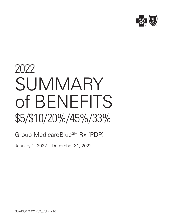

## 2022 **SUMMARY** of BENEFITS \$5/\$10/20%/45%/33%

### Group MedicareBlue<sup>SM</sup> Rx (PDP)

January 1, 2022 – December 31, 2022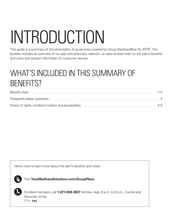# INTRODUCTION

This guide is a summary of the prescription drug services covered by Group MedicareBlue Rx (PDP). This booklet includes an overview of our plan and pharmacy network, an easy-to-read chart on the plan's benefits and costs and contact information for customer service.

## WHAT'S INCLUDED IN THIS SUMMARY OF BENEFITS?

| Notice of rights nondiscrimination and accessibility results and contact and contact and accessibility results and contact and contact and contact and the S |  |
|--------------------------------------------------------------------------------------------------------------------------------------------------------------|--|

Here's how to learn more about the plan's benefits and costs:



Visit **YourMedicareSolutions.com/GroupPlans**

Enrolled members, call **1-877-838-3827** toll-free, daily, 8 a.m. to 8 p.m., Central and Mountain times. TTY: **711**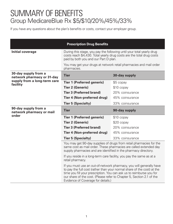## SUMMARY OF BENEFITS Group MedicareBlue Rx \$5/\$10/20%/45%/33%

If you have any questions about the plan's benefits or costs, contact your employer group.

| <b>Prescription Drug Benefits</b>                         |                                                                                                                                                                                                             |                                                                                                                                                |  |
|-----------------------------------------------------------|-------------------------------------------------------------------------------------------------------------------------------------------------------------------------------------------------------------|------------------------------------------------------------------------------------------------------------------------------------------------|--|
| <b>Initial coverage</b>                                   | During this stage, you pay the following until your total yearly drug<br>costs reach \$4,430. Total yearly drug costs are the total drug costs<br>paid by both you and our Part D plan.                     |                                                                                                                                                |  |
|                                                           | pharmacies.                                                                                                                                                                                                 | You may get your drugs at network retail pharmacies and mail order                                                                             |  |
| 30-day supply from a<br>network pharmacy or 31-day        | <b>Tier</b>                                                                                                                                                                                                 | 30-day supply                                                                                                                                  |  |
| supply from a long-term care<br>facility                  | <b>Tier 1 (Preferred generic)</b>                                                                                                                                                                           | \$5 copay                                                                                                                                      |  |
|                                                           | <b>Tier 2 (Generic)</b>                                                                                                                                                                                     | \$10 copay                                                                                                                                     |  |
|                                                           | <b>Tier 3 (Preferred brand)</b>                                                                                                                                                                             | 20% coinsurance                                                                                                                                |  |
|                                                           | <b>Tier 4 (Non-preferred drug)</b>                                                                                                                                                                          | 45% coinsurance                                                                                                                                |  |
|                                                           | <b>Tier 5 (Specialty)</b>                                                                                                                                                                                   | 33% coinsurance                                                                                                                                |  |
| 90-day supply from a<br>network pharmacy or mail<br>order | <b>Tier</b>                                                                                                                                                                                                 | 90-day supply                                                                                                                                  |  |
|                                                           | <b>Tier 1 (Preferred generic)</b>                                                                                                                                                                           | \$10 copay                                                                                                                                     |  |
|                                                           | <b>Tier 2 (Generic)</b>                                                                                                                                                                                     | \$20 copay                                                                                                                                     |  |
|                                                           | <b>Tier 3 (Preferred brand)</b>                                                                                                                                                                             | 20% coinsurance                                                                                                                                |  |
|                                                           | Tier 4 (Non-preferred drug)                                                                                                                                                                                 | 45% coinsurance                                                                                                                                |  |
|                                                           | <b>Tier 5 (Specialty)</b>                                                                                                                                                                                   | 33% coinsurance                                                                                                                                |  |
|                                                           | You may get 90-day supplies of drugs from retail pharmacies for the<br>same cost as mail order. These pharmacies are called extended day<br>supply pharmacies and are identified in the pharmacy directory. |                                                                                                                                                |  |
|                                                           | If you reside in a long-term care facility, you pay the same as at a<br>retail pharmacy.                                                                                                                    |                                                                                                                                                |  |
|                                                           | time you fill your prescription. You can ask us to reimburse you for<br>our share of the cost. (Please refer to Chapter 5, Section 2.1 of the<br>Evidence of Coverage for details.)                         | If you must use an out-of-network pharmacy, you will generally have<br>to pay the full cost (rather than your normal share of the cost) at the |  |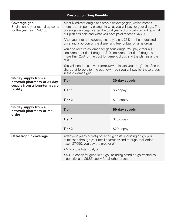|                                                                                                | <b>Prescription Drug Benefits</b>                                                                                                                                                                                                                                        |               |  |
|------------------------------------------------------------------------------------------------|--------------------------------------------------------------------------------------------------------------------------------------------------------------------------------------------------------------------------------------------------------------------------|---------------|--|
| Coverage gap<br>Begins once your total drug costs<br>for the year reach \$4,430                | Most Medicare drug plans have a coverage gap, which means<br>there is a temporary change in what you will pay for your drugs. The<br>coverage gap begins after the total yearly drug costs (including what<br>our plan has paid and what you have paid) reaches \$4,430. |               |  |
|                                                                                                | After you enter the coverage gap, you pay 25% of the negotiated<br>price and a portion of the dispensing fee for brand-name drugs.                                                                                                                                       |               |  |
|                                                                                                | You also receive coverage for generic drugs. You pay either a \$5<br>copayment for tier 1 drugs, a \$10 copayment for tier 2 drugs, or no<br>more than 25% of the cost for generic drugs and the plan pays the<br>rest.                                                  |               |  |
|                                                                                                | You will need to use your formulary to locate your drug's tier. See the<br>chart that follows to find out how much you will pay for these drugs<br>in the coverage gap.                                                                                                  |               |  |
| 30-day supply from a<br>network pharmacy or 31-day<br>supply from a long-term care<br>facility | <b>Tier</b>                                                                                                                                                                                                                                                              | 30-day supply |  |
|                                                                                                | <b>Tier 1</b>                                                                                                                                                                                                                                                            | \$5 copay     |  |
|                                                                                                | <b>Tier 2</b>                                                                                                                                                                                                                                                            | \$10 copay    |  |
| 90-day supply from a<br>network pharmacy or mail<br>order                                      | <b>Tier</b>                                                                                                                                                                                                                                                              | 90-day supply |  |
|                                                                                                | <b>Tier 1</b>                                                                                                                                                                                                                                                            | \$10 copay    |  |
|                                                                                                | <b>Tier 2</b>                                                                                                                                                                                                                                                            | \$20 copay    |  |
| <b>Catastrophic coverage</b>                                                                   | After your yearly out-of-pocket drug costs (including drugs you<br>purchased through your retail pharmacy and through mail order)<br>reach \$7,050, you pay the greater of:                                                                                              |               |  |
|                                                                                                | • 5% of the total cost, or                                                                                                                                                                                                                                               |               |  |
|                                                                                                | • \$3.95 copay for generic drugs (including brand drugs treated as<br>generic) and \$9.85 copay for all other drugs.                                                                                                                                                     |               |  |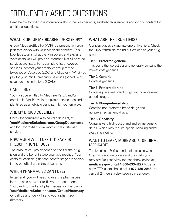## FREQUENTLY ASKED QUESTIONS

Read below to find more information about the plan benefits, eligibility requirements and who to contact for additional questions.

#### WHAT IS GROUP MEDICAREBLUE RX (PDP)?

Group MedicareBlue Rx (PDP) is a prescription drug plan that works with your Medicare benefits. This booklet explains what the plan covers and explains what costs you will pay as a member. Not all covered services are listed. For a complete list of covered services, contact your employer group for the Evidence of Coverage (EOC) and Chapter 4: What you pay for your Part D prescriptions drugs (Schedule of coverage and limitations (SCAL)).

#### CAN I JOIN?

You must be entitled to Medicare Part A and/or enrolled in Part B, live in the plan's service area and be identified as an eligible participant by your employer.

#### ARE MY DRUGS COVERED?

Check the formulary, also called a drug list, at **YourMedicareSolutions.com/GroupDocuments** and look for "5-tier Formulary" or call customer service.

#### HOW MUCH WILL I NEED TO PAY FOR PRESCRIPTION DRUGS?

The amount you pay depends on the tier the drug is on and the benefit stage you have reached. Your costs for each drug tier and benefit stage are shown in the benefit chart in this document.

#### WHICH PHARMACIES CAN I USE?

In general, you will need to use the pharmacies in the plan's network to fill your prescriptions. You can find the list of pharmacies for this plan at **YourMedicareSolutions.com/GroupPharmacy**. Or call us and we will send you a pharmacy directory.

#### WHAT ARF THE DRUG TIFRS?

Our plan places a drug into one of five tiers. Check the 2022 formulary to find out which tier your drug is on.

#### **Tier 1: Preferred generic**

This tier is the lowest tier and generally contains the lowest cost generics.

#### **Tier 2: Generic**

Contains generics.

#### **Tier 3: Preferred brand**

Contains preferred brand drugs and non-preferred generic drugs.

#### **Tier 4: Non-preferred drug**

Contains non-preferred brand drugs and nonpreferred generic drugs.

#### **Tier 5: Specialty**

Contains very high cost brand and some generic drugs, which may require special handling and/or close monitoring.

#### WANT TO LEARN MORE ABOUT ORIGINAL MEDICARE?

The Medicare & You handbook explains what Original Medicare covers and the costs you may pay. You can view the handbook online at **medicare.gov** or call **1-800-633-4227** to get a copy. TTY users should call **1-877-486-2048**. You can call 24 hours a day, seven days a week.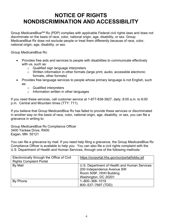#### **NOTICE OF RIGHTS NONDISCRIMINATION AND ACCESSIBILITY**

Group MedicareBlueSM Rx (PDP) complies with applicable Federal civil rights laws and does not discriminate on the basis of race, color, national origin, age, disability, or sex. Group MedicareBlue Rx does not exclude people or treat them differently because of race, color, national origin, age, disability, or sex.

Group MedicareBlue Rx:

- Provides free aids and services to people with disabilities to communicate effectively with us, such as:
	- o Qualified sign language interpreters
	- o Written information in other formats (large print, audio, accessible electronic formats, other formats)
- Provides free language services to people whose primary language is not English, such as:
	- o Qualified interpreters
	- o Information written in other languages

If you need these services, call customer service at 1-877-838-3827, daily, 8:00 a.m. to 8:00 p.m. Central and Mountain times (TTY: 711).

If you believe that Group MedicareBlue Rx has failed to provide these services or discriminated in another way on the basis of race, color, national origin, age, disability, or sex, you can file a grievance in writing to:

Group MedicareBlue Rx Compliance Officer 3400 Yankee Drive, R400 Eagan, MN 55121

You can file a grievance by mail. If you need help filing a grievance, the Group MedicareBlue Rx Compliance Officer is available to help you. You can also file a civil rights complaint with the U.S. Department of Health and Human Services, through one of the following methods:

| Electronically through the Office of Civil | https://ocrportal.hhs.gov/ocr/portal/lobby.jsf |
|--------------------------------------------|------------------------------------------------|
| <b>Rights Complaint Portal</b>             |                                                |
| By Mail                                    | U.S. Department of Health and Human Services   |
|                                            | 200 Independence Avenue SW                     |
|                                            | Room 509F, HHH Building                        |
|                                            | Washington, DC 20201                           |
| By Phone                                   | 1-800-368-1019                                 |
|                                            | 800-537-7697 (TDD)                             |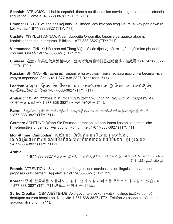**Spanish:** ATENCIÓN: si habla español, tiene a su disposición servicios gratuitos de asistencia lingüística. Llame al 1-877-838-3827 (TTY: 711).

**Hmong:** LUS CEEV: Yog tias koj hais lus Hmoob, cov kev pab txog lus, muaj kev pab dawb rau koj. Hu rau 1-877-838-3827 (TTY: 711).

**Cushite:** XIYYEEFFANNAA: Afaan dubbattu Oroomiffa, tajaajila gargaarsa afaanii, kanfaltiidhaan ala, ni argama. Bilbilaa 1-877-838-3827 (TTY: 711).

**Vietnamese:** CHÚ Ý: Nếu bạn nói Tiếng Việt, có các dịch vụ hỗ trợ ngôn ngữ miễn phí dành cho bạn. Gọi số 1-877-838-3827 (TTY: 711).

**Chinese:** 注意:如果您使用繁體中文,您可以免費獲得語言援助服務。請致電 1-877-838-3827 (TTY: 711)。

**Russian:** ВНИМАНИЕ: Если вы говорите на русском языке, то вам доступны бесплатные услуги перевода. Звоните 1-877-838-3827 (телетайп: 711).

Laotian: ໂປດຊາບ: ຖ້າວ່າ ທ່ານເວົ້າພາສາ ລາວ, ການບໍລິການຊ່ວຍເຫຼືອດ້ານພາສາ, ໂດຍບໍ່ເສັງຄ<sup>່</sup>າ, ແມ່ນມີພ້ອມໃຫ້ທ່ານ. ໂທຣ 1-877-838-3827 (TTY: 711).

**Amharic:** ማስታወሻ: የሚናገሩት ቋንቋ ኣማርኛ ከሆነ የትርጉም እርዳታ ድርጅቶች፣ በነጻ ሊያግዝዎት ተዘጋጀተዋል፡ ወደ ሚከተለው ቁጥር ይደውሉ 1-877-838-3827 (መስማት ለተሳናቸው: 711).

**Karen:** ဟ်သူဉ်ဟ်သး– နမ္)ကတိၤ/ကညီ /ကျိဉ်အယိႇ/နမၤန)်/ကျိဉ်အတ္ပါမၤစၢၤလ၊/တလျာ်ဘူဉ်လျာ်စုၤ/နီတမံၤဘဉ်သုနဉ် လီၤ./ကိႏ 1-877-838-3827 (TTY: 711).

**German:** ACHTUNG: Wenn Sie Deutsch sprechen, stehen Ihnen kostenlos sprachliche Hilfsdienstleistungen zur Verfügung. Rufnummer: 1-877-838-3827 (TTY: 711).

**Mon-Khmer, Cambodian:** របយ័តន៖ េ�ើសិនជាអនកនិយាយ ភាសាែខមរ, សេវាជំនួយែផនកភាសា ដោយមិនគិតឈនល គឺអាចមានសំរាប់បំរើអនក។ ចូរ ទូរស័ពទ 1-877-838-3827 (TTY: 711)។

#### **Arabic:**

لحوظة: إذا كنت نتحدث اذكر اللغة، فإن خدمات المساعدة اللغوية تتوافر لك بالمجان. اتصل برقم 3827-838-877-1 رقع هاتف الصم والبكم: 711).

**French:** ATTENTION : Si vous parlez français, des services d'aide linguistique vous sont proposés gratuitement. Appelez le 1-877-838-3827 (TTY: 711).

**Korean:** 주의: 한국어를 사용하시는 경우, 언어 지원 서비스를 무료로 이용하실 수 있습니다. 1-877-838-3827 (TTY: 711)번으로 전화해 주십시오.

**Serbo-Croatian:** OBAVJEŠTENJE: Ako govorite srpsko-hrvatski, usluge jezičke pomoći dostupne su vam besplatno. Nazovite 1-877-838-3827 (TTY- Telefon za osobe sa oštećenim govorom ili sluhom: 711).